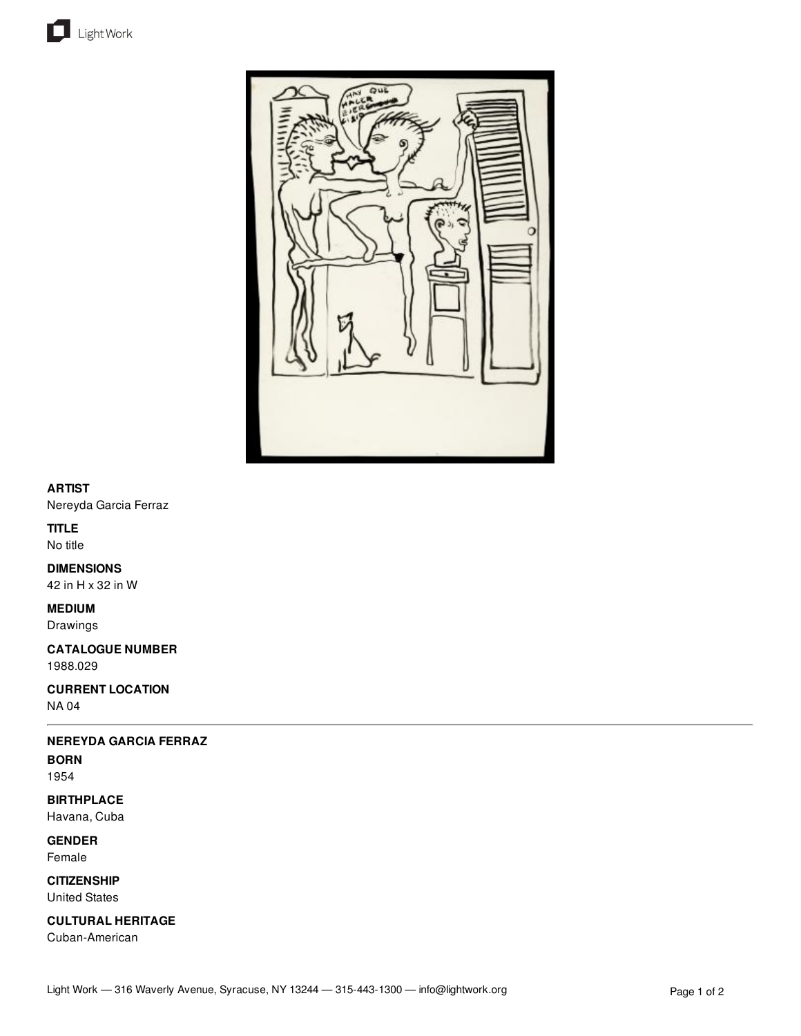



## **ARTIST**

Nereyda Garcia Ferraz

# **TITLE**

No title

## **DIMENSIONS**

42 in H x 32 in W

### **MEDIUM**

Drawings

**CATALOGUE NUMBER** 1988.029

**CURRENT LOCATION** NA 04

# **NEREYDA GARCIA FERRAZ**

**BORN**

1954

**BIRTHPLACE** Havana, Cuba

**GENDER**

Female

**CITIZENSHIP** United States

**CULTURAL HERITAGE** Cuban-American